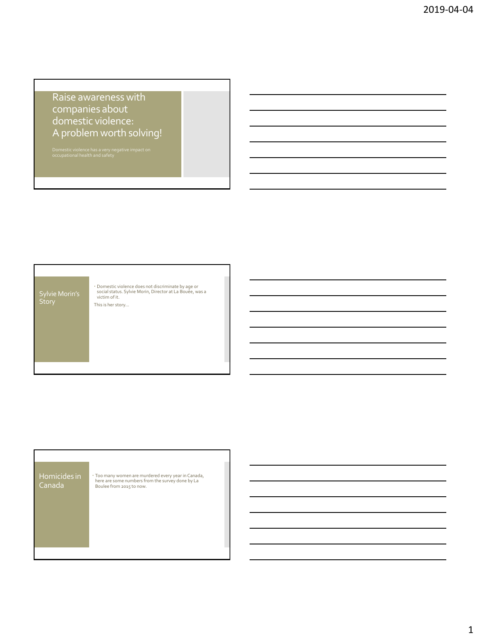## Raise awareness with companies about domestic violence: A problem worth solving!



|  | Homicides in<br>Canada | · Too many women are murdered every year in Canada,<br>here are some numbers from the survey done by La<br>Boulee from 2015 to now. |
|--|------------------------|-------------------------------------------------------------------------------------------------------------------------------------|
|--|------------------------|-------------------------------------------------------------------------------------------------------------------------------------|

Г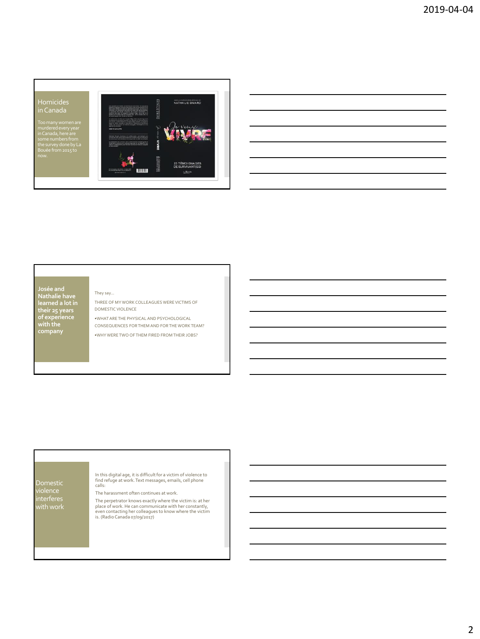# MELANDREDS MONEY Homicides NATHALE SWAH in Canada Too many women are murdered every year in Canada, here are some numbers from the survey done by La Bouée from 2015 to 23 TÉMOIGNAGES<br>DE SURVIVANT(ES)

### They say…

**Josée and Nathalie have** 

**learned a lot in their 25 years of experience with the company** 

THREE OF MY WORK COLLEAGUES WERE VICTIMS OF DOMESTIC VIOLENCE

•WHAT ARE THE PHYSICAL AND PSYCHOLOGICAL CONSEQUENCES FOR THEM AND FOR THE WORK TEAM? •WHY WERE TWO OF THEM FIRED FROM THEIR JOBS?

## Domestic interferes

In this digital age, it is difficult for a victim of violence to find refuge at work. Text messages, emails, cell phone calls:

The harassment often continues at work.

The perpetrator knows exactly where the victim is: at her<br>place of work. He can communicate with her constantly,<br>even contacting her colleagues to know where the victim<br>is. (Radio Canada 07/09/2017)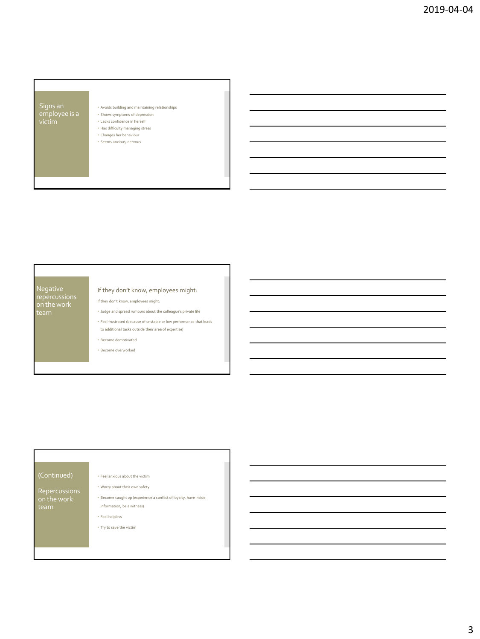## • Avoids building and maintaining relationships • Shows symptoms of depression • Lacks confidence in herself • Has difficulty managing stress • Changes her behaviour • Seems anxious, nervous

# Negative

If they don't know, employees might:

If they don't know, employees might:

• Judge and spread rumours about the colleague's private life

• Feel frustrated (because of unstable or low performance that leads to additional tasks outside their area of expertise)

• Become demotivated

• Become overworked

Repercussions

### • Feel anxious about the victim

• Worry about their own safety

• Become caught up (experience a conflict of loyalty, have inside information, be a witness)

• Feel helpless

• Try to save the victim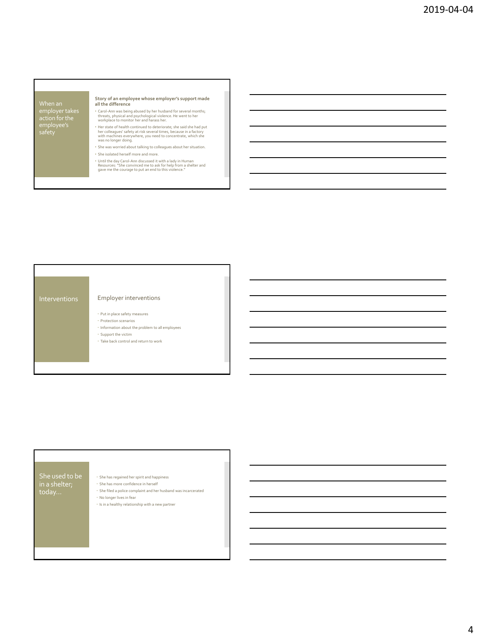# action for the employee's safety

## **Story of an employee whose employer's support made all the difference**

- Carol-Ann was being abused by her husband for several months; threats, physical and psychological violence. He went to her workplace to monitor her and harass her.
- Her state of health continued to deteriorate; she said she had put her colleagues' safety at risk several times, because in a factory with machines everywhere, you need to concentrate, which she was no longer doing.
- She was worried about talking to colleagues about her situation. • She isolated herself more and more.
- Until the day Carol-Ann discussed it with a lady in Human Resources: "She convinced me to ask for help from a shelter and gave me the courage to put an end to this violence."



## She used to be in a shelter; today…

- $\cdot$  She has regained her spirit and happiness
- She has more confidence in herself
- $\cdot$  She filed a police complaint and her husband was incarcerated
- No longer lives in fear
- $\cdot\,$  Is in a healthy relationship with a new partner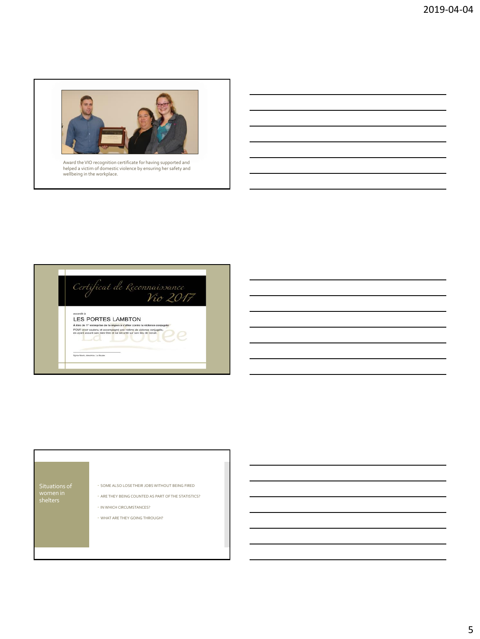

Award the VIO recognition certificate for having supported and helped a victim of domestic violence by ensuring her safety and wellbeing in the workplace.



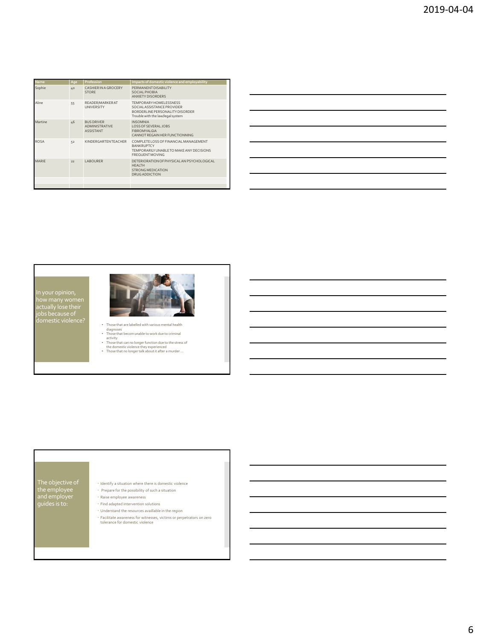| Name        | Age | Profession                                                     | Impacts of domestic violence and employability                                                                                   |
|-------------|-----|----------------------------------------------------------------|----------------------------------------------------------------------------------------------------------------------------------|
| Sophie      | 40  | CASHIER IN A GROCERY<br><b>STORF</b>                           | PERMANENT DISABILITY<br>SOCIAL PHOBIA<br>ANXIETY DISORDERS                                                                       |
| Aline       | 55  | READER/MARKER AT<br><b>UNIVERSITY</b>                          | TEMPORARY HOMEL ESSNESS<br>SOCIAL ASSISTANCE PROVIDER<br>BORDERLINE PERSONALITY DISORDER<br>Trouble with the law/legal system    |
| Martine     | 46  | <b>BUS DRIVER</b><br><b>ADMINISTRATIVE</b><br><b>ASSISTANT</b> | <b>INSOMNIA</b><br>LOSS OF SEVERAL JOBS.<br>FIBROMYALGIA<br>CANNOT REGAIN HER FUNCTIONNING                                       |
| <b>ROSA</b> | 52  | KINDERGARTENTEACHER                                            | COMPLETE LOSS OF FINANCIAL MANAGEMENT<br><b>BANKRUPTCY</b><br>TEMPORARII Y UNABLETO MAKE ANY DECISIONS<br><b>FREQUENT MOVING</b> |
| MARIF       | 22  | LABOURER                                                       | DETERIORATION OF PHYSICAL AN PSYCHOLOGICAL<br><b>HFAITH</b><br><b>STRONG MEDICATION</b><br><b>DRUG ADDICTION</b>                 |
|             |     |                                                                |                                                                                                                                  |
|             |     |                                                                |                                                                                                                                  |



## The objective of the employee and employer guides is to:

- $\cdot$  Identify a situation where there is domestic violence
- Prepare for the possibility of such a situation
- Raise employee awareness
- Find adapted intervention solutions
- Understand the resources availlable in the region
- Facilitate awareness for witnesses, victims or perpetrators on zero tolerance for domestic violence